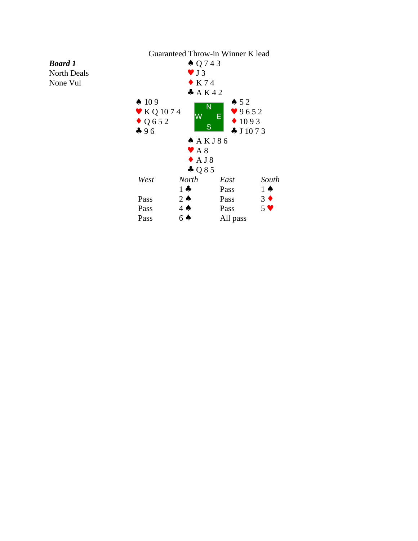

*Board 1* North Deals None Vul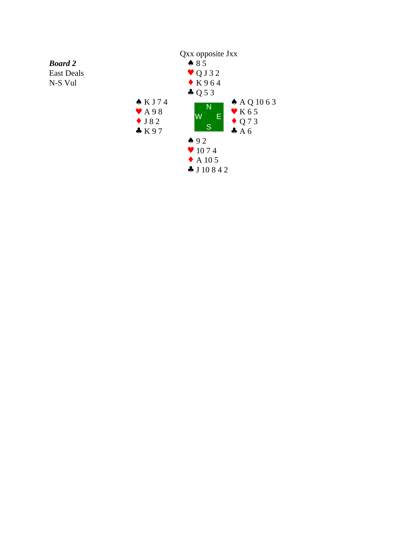

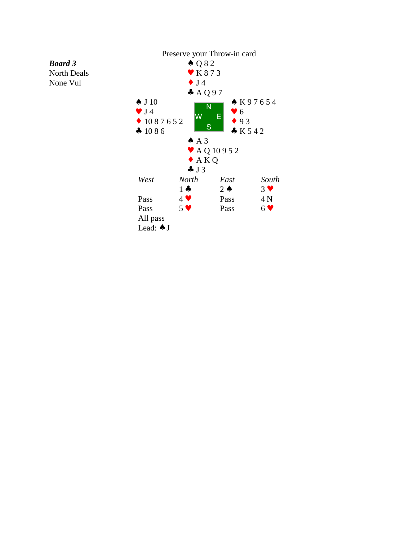North Deals None Vul

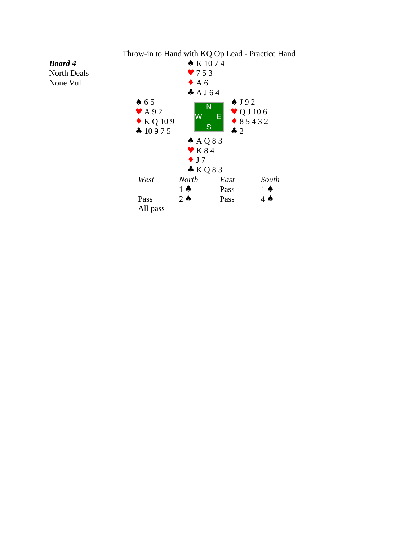

Throw-in to Hand with KQ Op Lead - Practice Hand

## *Board 4*

North Deals None Vul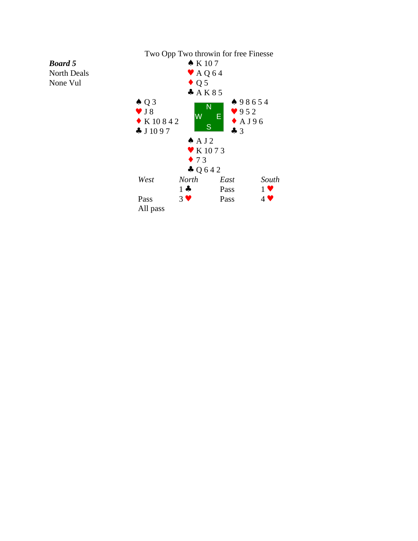

### *Board 5* North Deals

None Vul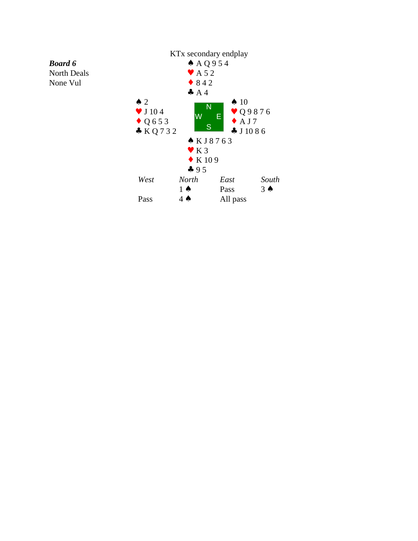North Deals None Vul

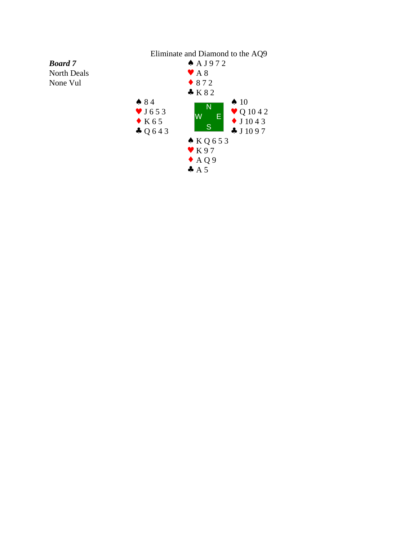# Eliminate and Diamond to the AQ9

*Board 7* North Deals None Vul

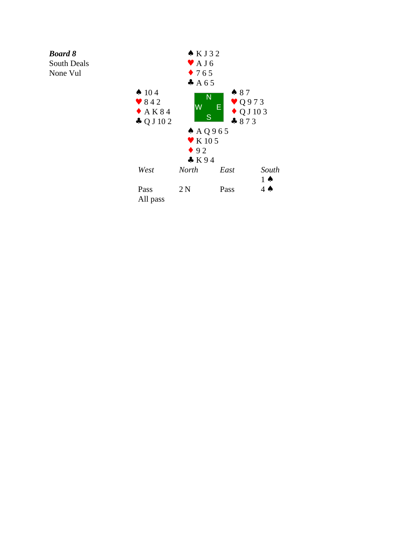South Deals None Vul

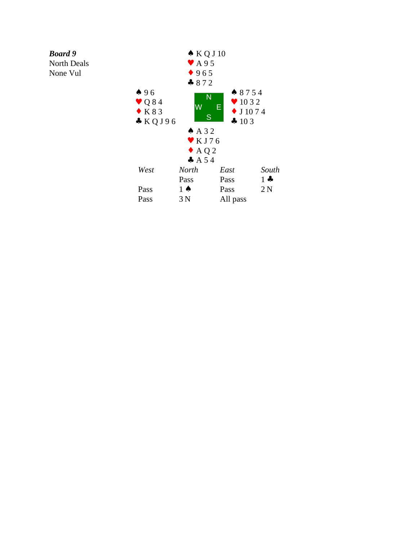North Deals

None Vul